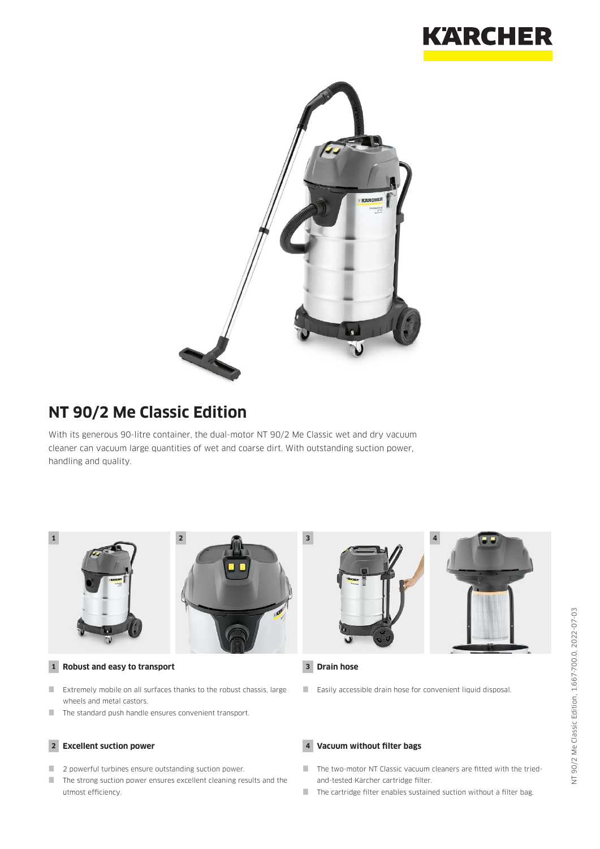



# **NT 90/2 Me Classic Edition**

With its generous 90-litre container, the dual-motor NT 90/2 Me Classic wet and dry vacuum cleaner can vacuum large quantities of wet and coarse dirt. With outstanding suction power, handling and quality.



### **1 Robust and easy to transport**

- Extremely mobile on all surfaces thanks to the robust chassis, large wheels and metal castors.
- $\blacksquare$  The standard push handle ensures convenient transport.

### **2 Excellent suction power**

- **2** powerful turbines ensure outstanding suction power.
- $\blacksquare$  The strong suction power ensures excellent cleaning results and the utmost efficiency.



### **3 Drain hose**

Easily accessible drain hose for convenient liquid disposal.

### **4 Vacuum without filter bags**

- The two-motor NT Classic vacuum cleaners are fitted with the triedand-tested Kärcher cartridge filter.
- $\blacksquare$  The cartridge filter enables sustained suction without a filter bag.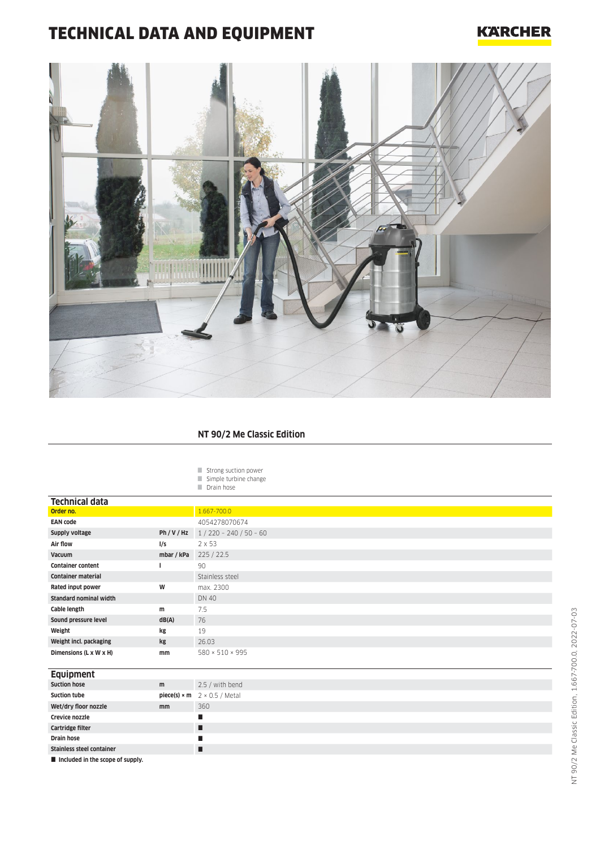# TECHNICAL DATA AND EQUIPMENT

## **KARCHER**



### **NT 90/2 Me Classic Edition**

Strong suction power Simple turbine change

Drain hose

| <b>Technical data</b>                        |            |                                                          |
|----------------------------------------------|------------|----------------------------------------------------------|
| Order no.                                    |            | 1.667-700.0                                              |
| <b>EAN code</b>                              |            | 4054278070674                                            |
| Supply voltage                               | Ph/V/Hz    | $1/220 - 240 / 50 - 60$                                  |
| Air flow                                     | I/S        | $2 \times 53$                                            |
| Vacuum                                       | mbar / kPa | 225 / 22.5                                               |
| <b>Container content</b>                     |            | 90                                                       |
| <b>Container material</b>                    |            | Stainless steel                                          |
| Rated input power                            | W          | max. 2300                                                |
| <b>Standard nominal width</b>                |            | <b>DN 40</b>                                             |
| Cable length                                 | m          | 7.5                                                      |
| Sound pressure level                         | dB(A)      | 76                                                       |
| Weight                                       | kg         | 19                                                       |
| Weight incl. packaging                       | kg         | 26.03                                                    |
| Dimensions (L x W x H)                       | mm         | 580 × 510 × 995                                          |
|                                              |            |                                                          |
| <b>Equipment</b>                             |            |                                                          |
| <b>Suction hose</b>                          | m          | 2.5 / with bend                                          |
| <b>Suction tube</b>                          |            | <b>piece(s)</b> $\times$ <b>m</b> $2 \times 0.5$ / Metal |
| Wet/dry floor nozzle                         | mm         | 360                                                      |
| Crevice nozzle                               |            | п                                                        |
| Cartridge filter                             |            | п                                                        |
| <b>Drain hose</b>                            |            | п                                                        |
| <b>Stainless steel container</b>             |            | п                                                        |
| <b>El technología de concerto de cuentra</b> |            |                                                          |

**Included in the scope of supply.**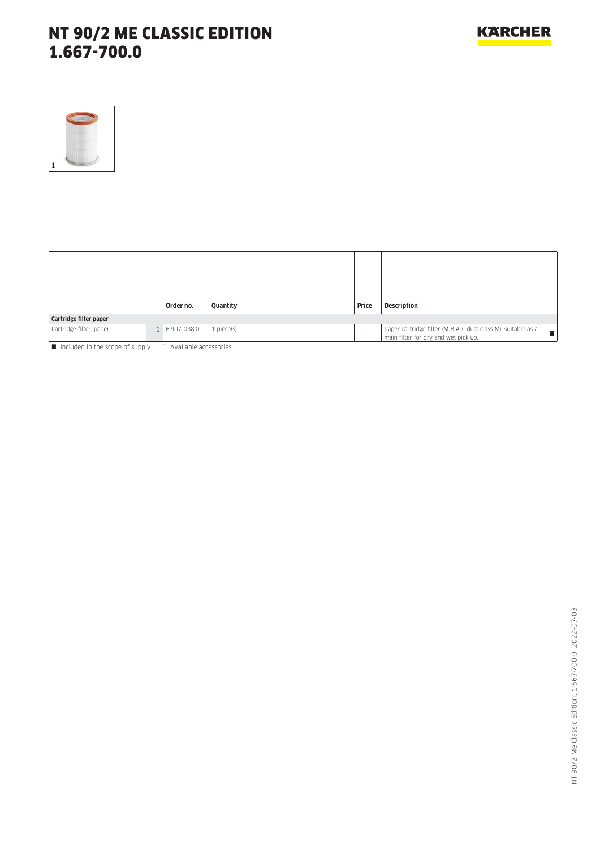# NT 90/2 ME CLASSIC EDITION 1.667-700.0



|                         | Order no.     | Quantity   |  | Price | <b>Description</b>                                                                                   |
|-------------------------|---------------|------------|--|-------|------------------------------------------------------------------------------------------------------|
| Cartridge filter paper  |               |            |  |       |                                                                                                      |
| Cartridge filter, paper | 1 6.907-038.0 | 1 piece(s) |  |       | Paper cartridge filter (M BIA-C dust class M), suitable as a<br>main filter for dry and wet pick up. |

Included in the scope of supply.  $\Box$  Available accessories.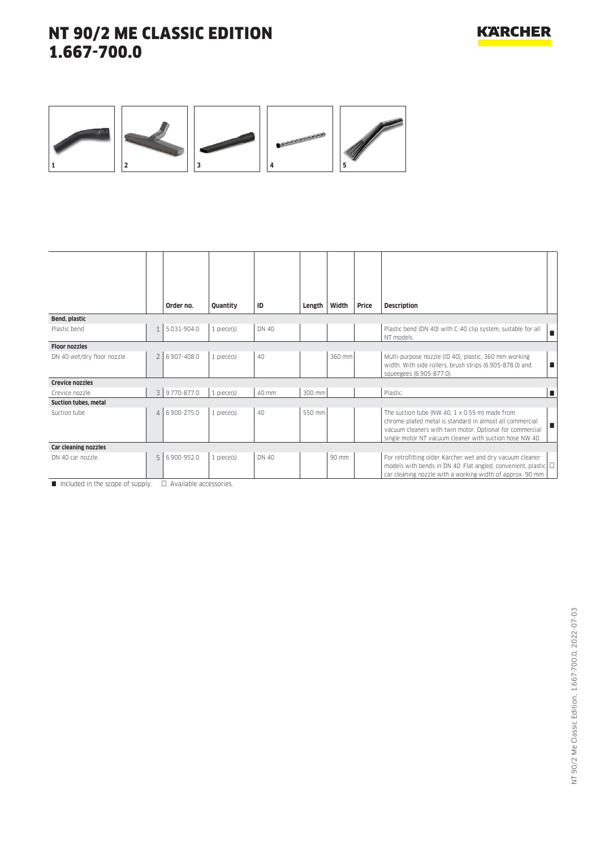# NT 90/2 ME CLASSIC EDITION 1.667-700.0



|                            |                | Order no.     | Quantity        | ID    | Length | Width  | Price | <b>Description</b>                                                                                                                                                                                                                            |
|----------------------------|----------------|---------------|-----------------|-------|--------|--------|-------|-----------------------------------------------------------------------------------------------------------------------------------------------------------------------------------------------------------------------------------------------|
| Bend, plastic              |                |               |                 |       |        |        |       |                                                                                                                                                                                                                                               |
| Plastic bend               | $\mathbf{1}$   | 5.031-904.0   | $1$ piece $(s)$ | DN 40 |        |        |       | Plastic bend (DN 40) with C-40 clip system, suitable for all<br>NT models.                                                                                                                                                                    |
| <b>Floor nozzles</b>       |                |               |                 |       |        |        |       |                                                                                                                                                                                                                                               |
| DN 40 wet/dry floor nozzle | $\overline{2}$ | 6.907-408.0   | $1$ piece $(s)$ | 40    |        | 360 mm |       | Multi-purpose nozzle (ID 40), plastic, 360 mm working<br>width. With side rollers, brush strips (6.905-878.0) and<br>п<br>squeegees (6.905-877.0).                                                                                            |
| <b>Crevice nozzles</b>     |                |               |                 |       |        |        |       |                                                                                                                                                                                                                                               |
| Crevice nozzle             |                | 3 9.770-877.0 | $1$ piece $(s)$ | 40 mm | 300 mm |        |       | Plastic.<br>п                                                                                                                                                                                                                                 |
| Suction tubes, metal       |                |               |                 |       |        |        |       |                                                                                                                                                                                                                                               |
| Suction tube               | $\overline{4}$ | 6.900-275.0   | $1$ piece $(s)$ | 40    | 550 mm |        |       | The suction tube (NW 40, $1 \times 0.55$ m) made from<br>chrome-plated metal is standard in almost all commercial<br>п<br>vacuum cleaners with twin motor. Optional for commercial<br>single motor NT vacuum cleaner with suction hose NW 40. |
| Car cleaning nozzles       |                |               |                 |       |        |        |       |                                                                                                                                                                                                                                               |
| DN 40 car nozzle           | 5              | 6.900-952.0   | $1$ piece $(s)$ | DN 40 |        | 90 mm  |       | For retrofitting older Kärcher wet and dry vacuum cleaner<br>models with bends in DN 40: Flat angled, convenient, plastic $\Box$<br>car cleaning nozzle with a working width of approx. 90 mm.                                                |

 $\blacksquare$  Included in the scope of supply.  $\Box$  Available accessories.